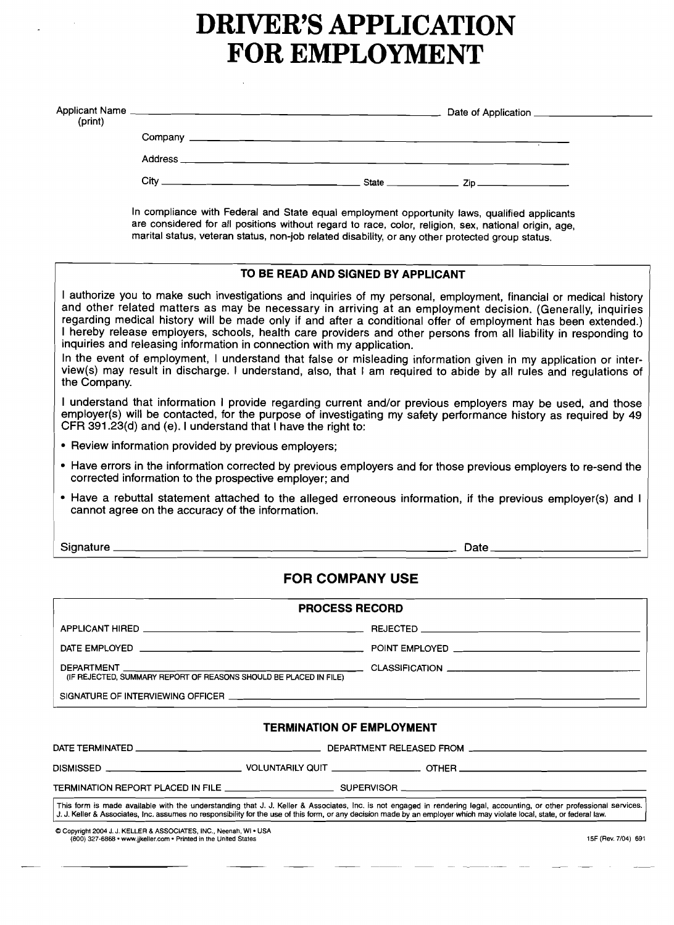# **DRIVER'S APPLICATION FOR EMPLOYMENT**

| (print) |                                                                                                                                                                                                                                                                                                          |  | Date of Application ______________________ |  |  |
|---------|----------------------------------------------------------------------------------------------------------------------------------------------------------------------------------------------------------------------------------------------------------------------------------------------------------|--|--------------------------------------------|--|--|
|         |                                                                                                                                                                                                                                                                                                          |  |                                            |  |  |
|         |                                                                                                                                                                                                                                                                                                          |  |                                            |  |  |
|         |                                                                                                                                                                                                                                                                                                          |  |                                            |  |  |
|         | In compliance with Federal and State equal employment opportunity laws, qualified applicants<br>are considered for all positions without regard to race, color, religion, sex, national origin, age,<br>marital status, veteran status, non-job related disability, or any other protected group status. |  |                                            |  |  |

# **TO BE READ AND SIGNED BY APPLICANT**

I authorize you to make such investigations and inquiries of my personal, employment, financial or medical history and other related matters as may be necessary in arriving at an employment decision. (Generally, inquiries regarding medical history will be made only if and after a conditional offer of employment has been extended.) I hereby release employers, schools, health care providers and other persons from all liability in responding to inquiries and releasing information in connection with my application.

In the event of employment, I understand that false or misleading information given in my application or interview(s) may result in discharge. I understand, also, that I am required to abide by all rules and regulations of the Company.

I understand that information I provide regarding current and/or previous employers may be used, and those employer(s) will be contacted, for the purpose of investigating my safety performance history as required by 49 CFR 391.23(d) and (e). I understand that I have the right to:

- Review information provided by previous employers;
- Have errors in the information corrected by previous employers and for those previous employers to re-send the corrected information to the prospective employer; and
- Have a rebuttal statement attached to the alleged erroneous information, if the previous employer(s) and I cannot agree on the accuracy of the information.

I Signature Date

# **FOR COMPANY USE**

| <b>PROCESS RECORD</b>                                                                                          |  |  |  |  |  |
|----------------------------------------------------------------------------------------------------------------|--|--|--|--|--|
| APPLICANT HIRED AND THE RESERVE THAT THE RESERVE THAT THE RESERVE THAT THE RESERVE THAT THE RESERVE THAT THE R |  |  |  |  |  |
|                                                                                                                |  |  |  |  |  |
| (IF REJECTED, SUMMARY REPORT OF REASONS SHOULD BE PLACED IN FILE)                                              |  |  |  |  |  |
|                                                                                                                |  |  |  |  |  |

#### **TERMINATION OF EMPLOYMENT**

| DISMISSED __________________________                                                                                                                                                                                                                                                                                                               |  | VOLUNTARILY QUIT ______________________ OTHER __________________________________ |
|----------------------------------------------------------------------------------------------------------------------------------------------------------------------------------------------------------------------------------------------------------------------------------------------------------------------------------------------------|--|----------------------------------------------------------------------------------|
| TERMINATION REPORT PLACED IN FILE _________________________________SUPERVISOR ________________________________                                                                                                                                                                                                                                     |  |                                                                                  |
| This form is made available with the understanding that J. J. Keller & Associates, Inc. is not engaged in rendering legal, accounting, or other professional services.<br>[J. J. Keller & Associates, Inc. assumes no responsibility for the use of this form, or any decision made by an employer which may violate local, state, or federal law. |  |                                                                                  |

\CI Copyright 2004 J. J. KELLER & ASSOCIATES, INC., Neenah. WI • USA (800) 327-6868 • www.jjkeller.com • Printed in the United States **15F** (Rev. 7/04) 691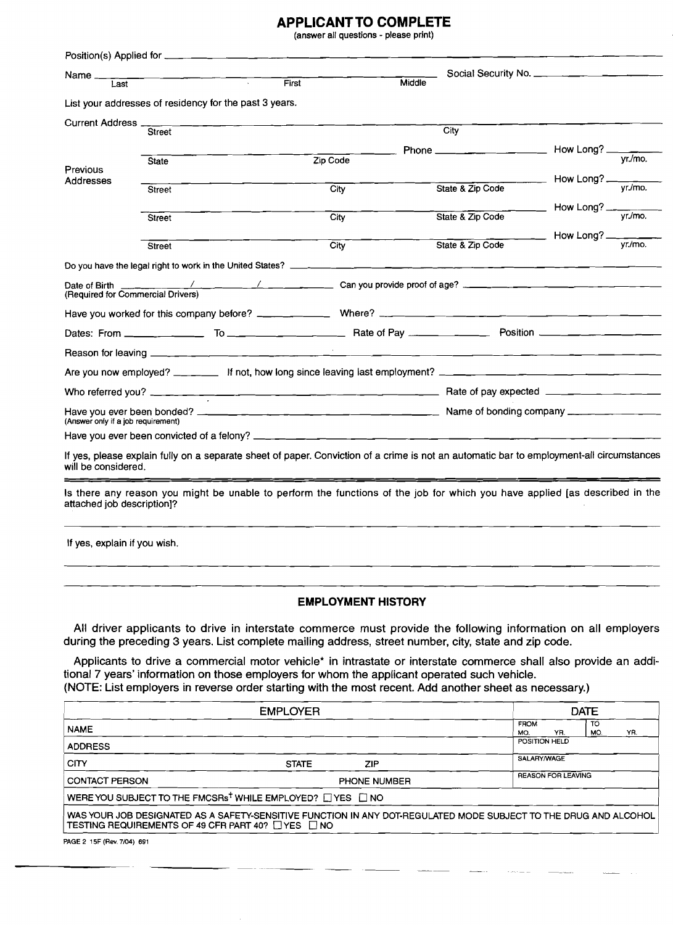# **APPLICANT TO COMPLETE**

(answer all questions - please print)

| Name_<br>Last                                                | $\overline{\phantom{a}}$                                                                                                                 | <b>First</b>              | Middle |                                                 |                                      |               |
|--------------------------------------------------------------|------------------------------------------------------------------------------------------------------------------------------------------|---------------------------|--------|-------------------------------------------------|--------------------------------------|---------------|
|                                                              | List your addresses of residency for the past 3 years.                                                                                   |                           |        |                                                 |                                      |               |
|                                                              |                                                                                                                                          |                           |        |                                                 |                                      |               |
| Current Address _                                            | <b>Street</b>                                                                                                                            |                           |        | City                                            |                                      |               |
|                                                              |                                                                                                                                          |                           |        | Phone ____________________________ How Long? __ |                                      |               |
| Previous                                                     | <b>State</b>                                                                                                                             | Zip Code                  |        |                                                 |                                      | $Vr/m$ o.     |
| Addresses                                                    | Street                                                                                                                                   | City                      |        | State & Zip Code                                | How Long? $\frac{1}{\text{yr./mo.}}$ |               |
|                                                              |                                                                                                                                          |                           |        |                                                 |                                      |               |
|                                                              | Street                                                                                                                                   | City                      |        | State & Zip Code                                | How Long? $\frac{y}{y}$              |               |
|                                                              |                                                                                                                                          |                           |        |                                                 | How Long? $\frac{1}{\text{yr./mo.}}$ |               |
|                                                              | <b>Street</b>                                                                                                                            | City                      |        | State & Zip Code                                |                                      |               |
|                                                              |                                                                                                                                          |                           |        |                                                 |                                      |               |
| Date of Birth _________<br>(Required for Commercial Drivers) |                                                                                                                                          |                           |        |                                                 |                                      |               |
|                                                              |                                                                                                                                          |                           |        |                                                 |                                      |               |
|                                                              |                                                                                                                                          |                           |        |                                                 |                                      |               |
|                                                              |                                                                                                                                          |                           |        |                                                 |                                      |               |
|                                                              | Are you now employed? _______ If not, how long since leaving last employment? ________________________________                           |                           |        |                                                 |                                      |               |
|                                                              |                                                                                                                                          |                           |        |                                                 |                                      |               |
| (Answer only if a job requirement)                           |                                                                                                                                          |                           |        |                                                 |                                      |               |
|                                                              |                                                                                                                                          |                           |        |                                                 |                                      |               |
| will be considered.                                          | If yes, please explain fully on a separate sheet of paper. Conviction of a crime is not an automatic bar to employment-all circumstances |                           |        |                                                 |                                      |               |
| attached job description]?                                   | Is there any reason you might be unable to perform the functions of the job for which you have applied [as described in the              |                           |        |                                                 |                                      |               |
| If yes, explain if you wish.                                 |                                                                                                                                          |                           |        |                                                 |                                      |               |
|                                                              |                                                                                                                                          | <b>EMPLOYMENT HISTORY</b> |        |                                                 |                                      |               |
|                                                              | All driver applicants to drive in interstate commerce must provide the following information on                                          |                           |        |                                                 |                                      | oll amployare |

All driver applicants to drive in interstate commerce must provide the following information on all employers during the preceding 3 years. List complete mailing address, street number, city, state and zip code.

Applicants to drive a commercial motor vehicle\* in intrastate or interstate commerce shall also provide an additional 7 years' information on those employers for whom the applicant operated such vehicle. (NOTE: List employers in reverse order starting with the most recent. Add another sheet as necessary.)

|                                                              | <b>DATE</b>                                                                                                      |                           |  |
|--------------------------------------------------------------|------------------------------------------------------------------------------------------------------------------|---------------------------|--|
| TO<br><b>FROM</b><br><b>NAME</b><br>MO.<br>YR.<br>MO.        |                                                                                                                  |                           |  |
| <b>ADDRESS</b>                                               | POSITION HELD                                                                                                    |                           |  |
| <b>CITY</b>                                                  | <b>STATE</b><br><b>ZIP</b>                                                                                       | SALARY/WAGE               |  |
| <b>CONTACT PERSON</b>                                        | <b>PHONE NUMBER</b>                                                                                              | <b>REASON FOR LEAVING</b> |  |
|                                                              | WERE YOU SUBJECT TO THE FMCSRs <sup>t</sup> WHILE EMPLOYED? U YES U NO                                           |                           |  |
| TESTING REQUIREMENTS OF 49 CFR PART 40? $\Box$ YES $\Box$ NO | WAS YOUR JOB DESIGNATED AS A SAFETY-SENSITIVE FUNCTION IN ANY DOT-REGULATED MODE SUBJECT TO THE DRUG AND ALCOHOL |                           |  |

PAGE 2 1SF (Rev. 7/04) 691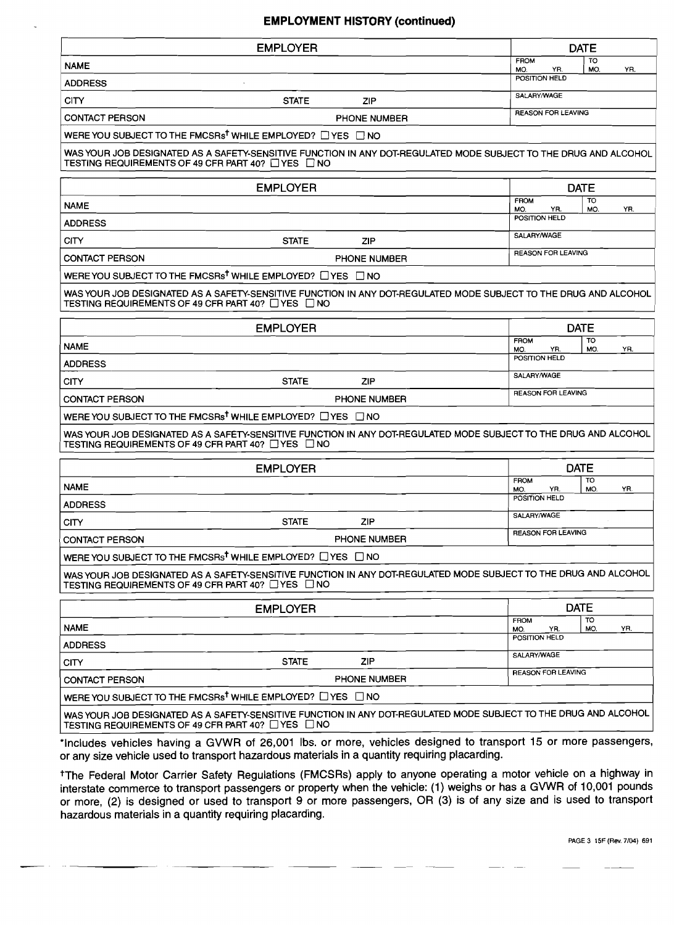#### **EMPLOYMENT HISTORY (continued)**

| <b>EMPLOYER</b>                                                                                                                                                                    |                     |                           | <b>DATE</b>      |     |
|------------------------------------------------------------------------------------------------------------------------------------------------------------------------------------|---------------------|---------------------------|------------------|-----|
| <b>NAME</b>                                                                                                                                                                        |                     | <b>FROM</b><br>YR.<br>MO. | <b>TO</b><br>MO. | YR. |
| <b>ADDRESS</b>                                                                                                                                                                     |                     | POSITION HELD             |                  |     |
| <b>CITY</b><br><b>STATE</b>                                                                                                                                                        | <b>ZIP</b>          | SALARY/WAGE               |                  |     |
| <b>CONTACT PERSON</b>                                                                                                                                                              | PHONE NUMBER        | <b>REASON FOR LEAVING</b> |                  |     |
| WERE YOU SUBJECT TO THE FMCSRs <sup>t</sup> WHILE EMPLOYED? $\Box$ YES $\Box$ NO                                                                                                   |                     |                           |                  |     |
| WAS YOUR JOB DESIGNATED AS A SAFETY-SENSITIVE FUNCTION IN ANY DOT-REGULATED MODE SUBJECT TO THE DRUG AND ALCOHOL<br>TESTING REQUIREMENTS OF 49 CFR PART 40? TYES TINO              |                     |                           |                  |     |
| <b>EMPLOYER</b>                                                                                                                                                                    |                     |                           | <b>DATE</b>      |     |
| <b>NAME</b>                                                                                                                                                                        |                     | FROM<br>MO.<br>YR.        | <b>TO</b><br>MO. | YR. |
| <b>ADDRESS</b>                                                                                                                                                                     |                     | POSITION HELD             |                  |     |
| CITY<br><b>STATE</b>                                                                                                                                                               | ZIP                 | SALARY/WAGE               |                  |     |
| <b>CONTACT PERSON</b>                                                                                                                                                              | <b>PHONE NUMBER</b> | <b>REASON FOR LEAVING</b> |                  |     |
| WERE YOU SUBJECT TO THE FMCSRs <sup>†</sup> WHILE EMPLOYED? □ YES □ NO                                                                                                             |                     |                           |                  |     |
| WAS YOUR JOB DESIGNATED AS A SAFETY-SENSITIVE FUNCTION IN ANY DOT-REGULATED MODE SUBJECT TO THE DRUG AND ALCOHOL<br>TESTING REQUIREMENTS OF 49 CFR PART 40? $\Box$ YES $\,\Box$ NO |                     |                           |                  |     |
| <b>EMPLOYER</b>                                                                                                                                                                    |                     |                           | <b>DATE</b>      |     |
| <b>NAME</b>                                                                                                                                                                        |                     | <b>FROM</b><br>MO.<br>YR. | TO<br>MO.        | YR. |
| <b>ADDRESS</b>                                                                                                                                                                     |                     | POSITION HELD             |                  |     |
| <b>STATE</b><br><b>CITY</b>                                                                                                                                                        | ZIP                 | SALARY/WAGE               |                  |     |
| <b>CONTACT PERSON</b>                                                                                                                                                              | <b>PHONE NUMBER</b> | REASON FOR LEAVING        |                  |     |
| WERE YOU SUBJECT TO THE FMCSRs <sup>t</sup> WHILE EMPLOYED? $\Box$ YES $\Box$ NO                                                                                                   |                     |                           |                  |     |
| WAS YOUR JOB DESIGNATED AS A SAFETY-SENSITIVE FUNCTION IN ANY DOT-REGULATED MODE SUBJECT TO THE DRUG AND ALCOHOL<br>TESTING REQUIREMENTS OF 49 CFR PART 40? $\Box$ YES $\Box$ NO   |                     |                           |                  |     |
| <b>EMPLOYER</b>                                                                                                                                                                    |                     |                           | <b>DATE</b>      |     |
| <b>NAME</b>                                                                                                                                                                        |                     | <b>FROM</b><br>YR.        | тο<br>MO.        | YR. |
| <b>ADDRESS</b>                                                                                                                                                                     |                     | MO.<br>POSITION HELD      |                  |     |
| <b>STATE</b><br><b>CITY</b>                                                                                                                                                        | <b>ZIP</b>          | SALARY/WAGE               |                  |     |
| <b>CONTACT PERSON</b>                                                                                                                                                              | <b>PHONE NUMBER</b> | <b>REASON FOR LEAVING</b> |                  |     |
| WERE YOU SUBJECT TO THE FMCSRs <sup>t</sup> WHILE EMPLOYED? $\Box$ YES $\Box$ NO                                                                                                   |                     |                           |                  |     |
| WAS YOUR JOB DESIGNATED AS A SAFETY-SENSITIVE FUNCTION IN ANY DOT-REGULATED MODE SUBJECT TO THE DRUG AND ALCOHOL<br>TESTING REQUIREMENTS OF 49 CFR PART 40? □ YES □ NO             |                     |                           |                  |     |
| <b>EMPLOYER</b>                                                                                                                                                                    |                     |                           | <b>DATE</b>      |     |
| <b>NAME</b>                                                                                                                                                                        |                     | <b>FROM</b><br>YR.<br>MO. | TO<br>MO.        | YR. |
| <b>ADDRESS</b>                                                                                                                                                                     |                     | POSITION HELD             |                  |     |
| <b>STATE</b><br>CITY                                                                                                                                                               | <b>ZIP</b>          | SALARY/WAGE               |                  |     |
| <b>CONTACT PERSON</b>                                                                                                                                                              | <b>PHONE NUMBER</b> | <b>REASON FOR LEAVING</b> |                  |     |
| WERE YOU SUBJECT TO THE FMCSRs <sup>t</sup> WHILE EMPLOYED? $\Box$ YES $\Box$ NO                                                                                                   |                     |                           |                  |     |
| WAS YOUR JOB DESIGNATED AS A SAFETY-SENSITIVE FUNCTION IN ANY DOT-REGULATED MODE SUBJECT TO THE DRUG AND ALCOHOL<br>TESTING REQUIREMENTS OF 49 CFR PART 40? □ YES □ NO             |                     |                           |                  |     |

\*Includes vehicles having a GVWR of 26,001 Ibs. or more, vehicles designed to transport 15 or more passengers, or any size vehicle used to transport hazardous materials in a quantity requiring placarding.

tThe Federal Motor Carrier Safety Regulations (FMCSRs) apply to anyone operating a motor vehicle on a highway in interstate commerce to transport passengers or property when the vehicle: (1) weighs or has a GVWR of 10,001 pounds or more, (2) is designed or used to transport 9 or more passengers, OR (3) is of any size and is used to transport hazardous materials in a quantity requiring placarding.